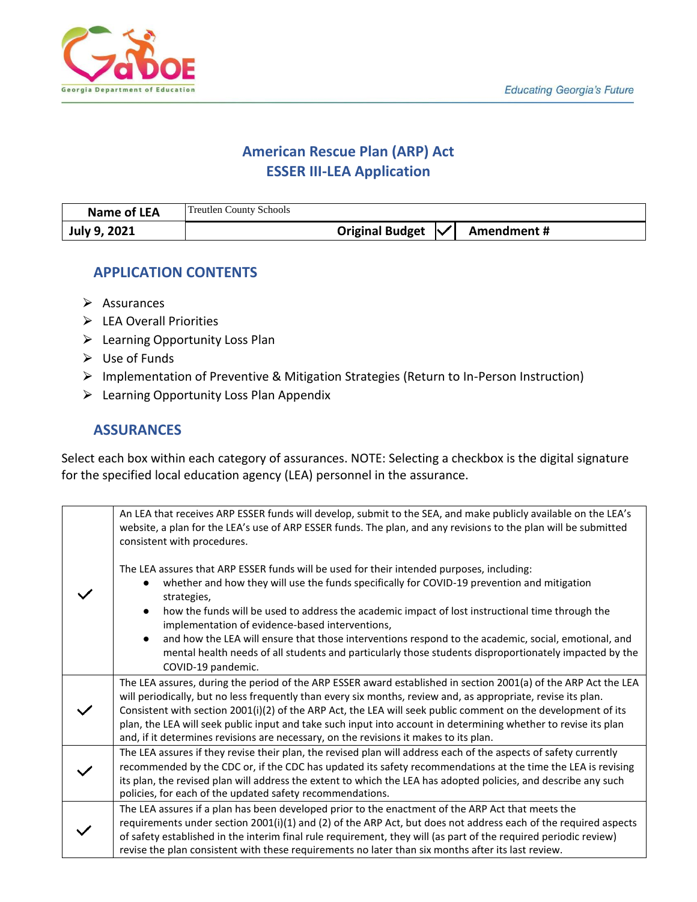

# **American Rescue Plan (ARP) Act ESSER III-LEA Application**

| Name of LEA  | <b>Treutlen County Schools</b>               |
|--------------|----------------------------------------------|
| July 9, 2021 | Original Budget $\mathcal{V}$<br>Amendment # |

# **APPLICATION CONTENTS**

- $\triangleright$  Assurances
- ▶ LEA Overall Priorities
- ▶ Learning Opportunity Loss Plan
- $\triangleright$  Use of Funds
- ⮚ Implementation of Preventive & Mitigation Strategies (Return to In-Person Instruction)
- $\triangleright$  Learning Opportunity Loss Plan Appendix

# **ASSURANCES**

Select each box within each category of assurances. NOTE: Selecting a checkbox is the digital signature for the specified local education agency (LEA) personnel in the assurance.

| An LEA that receives ARP ESSER funds will develop, submit to the SEA, and make publicly available on the LEA's<br>website, a plan for the LEA's use of ARP ESSER funds. The plan, and any revisions to the plan will be submitted<br>consistent with procedures.                                                                                                                                                                                                                                                                                                                                                    |
|---------------------------------------------------------------------------------------------------------------------------------------------------------------------------------------------------------------------------------------------------------------------------------------------------------------------------------------------------------------------------------------------------------------------------------------------------------------------------------------------------------------------------------------------------------------------------------------------------------------------|
| The LEA assures that ARP ESSER funds will be used for their intended purposes, including:<br>whether and how they will use the funds specifically for COVID-19 prevention and mitigation<br>strategies,<br>how the funds will be used to address the academic impact of lost instructional time through the<br>implementation of evidence-based interventions,<br>and how the LEA will ensure that those interventions respond to the academic, social, emotional, and<br>$\bullet$<br>mental health needs of all students and particularly those students disproportionately impacted by the<br>COVID-19 pandemic. |
| The LEA assures, during the period of the ARP ESSER award established in section 2001(a) of the ARP Act the LEA<br>will periodically, but no less frequently than every six months, review and, as appropriate, revise its plan.<br>Consistent with section 2001(i)(2) of the ARP Act, the LEA will seek public comment on the development of its<br>plan, the LEA will seek public input and take such input into account in determining whether to revise its plan<br>and, if it determines revisions are necessary, on the revisions it makes to its plan.                                                       |
| The LEA assures if they revise their plan, the revised plan will address each of the aspects of safety currently<br>recommended by the CDC or, if the CDC has updated its safety recommendations at the time the LEA is revising<br>its plan, the revised plan will address the extent to which the LEA has adopted policies, and describe any such<br>policies, for each of the updated safety recommendations.                                                                                                                                                                                                    |
| The LEA assures if a plan has been developed prior to the enactment of the ARP Act that meets the<br>requirements under section 2001(i)(1) and (2) of the ARP Act, but does not address each of the required aspects<br>of safety established in the interim final rule requirement, they will (as part of the required periodic review)<br>revise the plan consistent with these requirements no later than six months after its last review.                                                                                                                                                                      |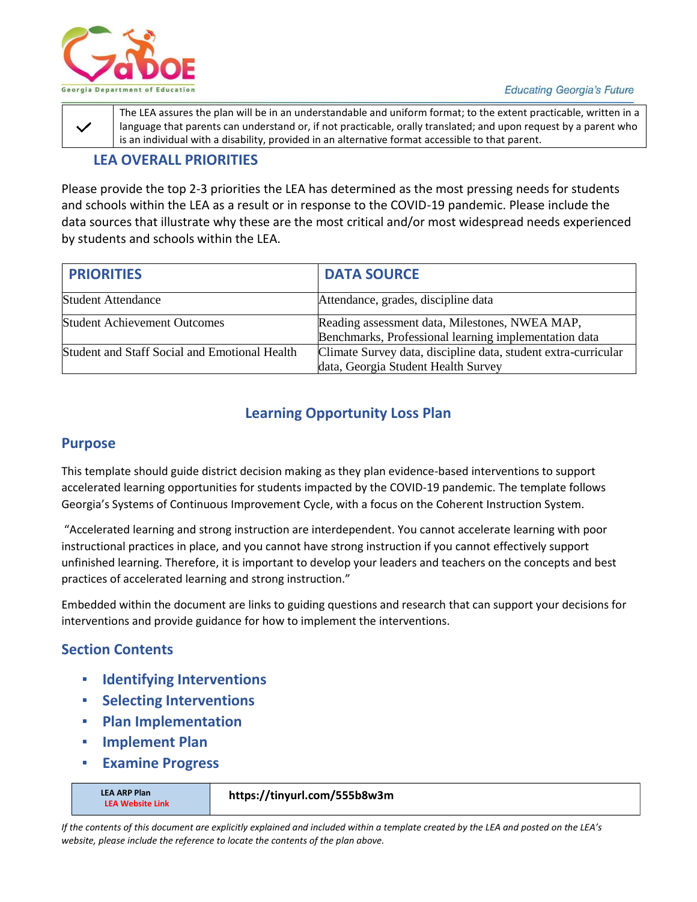

The LEA assures the plan will be in an understandable and uniform format; to the extent practicable, written in a language that parents can understand or, if not practicable, orally translated; and upon request by a parent who is an individual with a disability, provided in an alternative format accessible to that parent.

# **LEA OVERALL PRIORITIES**

Please provide the top 2-3 priorities the LEA has determined as the most pressing needs for students and schools within the LEA as a result or in response to the COVID-19 pandemic. Please include the data sources that illustrate why these are the most critical and/or most widespread needs experienced by students and schools within the LEA.

| <b>PRIORITIES</b>                             | <b>DATA SOURCE</b>                                                                                      |
|-----------------------------------------------|---------------------------------------------------------------------------------------------------------|
| <b>Student Attendance</b>                     | Attendance, grades, discipline data                                                                     |
| <b>Student Achievement Outcomes</b>           | Reading assessment data, Milestones, NWEA MAP,<br>Benchmarks, Professional learning implementation data |
| Student and Staff Social and Emotional Health | Climate Survey data, discipline data, student extra-curricular<br>data, Georgia Student Health Survey   |

# **Learning Opportunity Loss Plan**

#### **Purpose**

This template should guide district decision making as they plan evidence-based interventions to support accelerated learning opportunities for students impacted by the COVID-19 pandemic. The template follows Georgia's Systems of Continuous Improvement Cycle, with a focus on the Coherent Instruction System.

"Accelerated learning and strong instruction are interdependent. You cannot accelerate learning with poor instructional practices in place, and you cannot have strong instruction if you cannot effectively support unfinished learning. Therefore, it is important to develop your leaders and teachers on the concepts and best practices of accelerated learning and strong instruction."

Embedded within the document are links to guiding questions and research that can support your decisions for interventions and provide guidance for how to implement the interventions.

# **Section Contents**

- **Identifying Interventions**
- **Selecting Interventions**
- **Plan Implementation**
- **Implement Plan**
- **Examine Progress**

**LEA ARP Plan LEA Website Link**

#### **https://tinyurl.com/555b8w3m**

*If the contents of this document are explicitly explained and included within a template created by the LEA and posted on the LEA's website, please include the reference to locate the contents of the plan above.*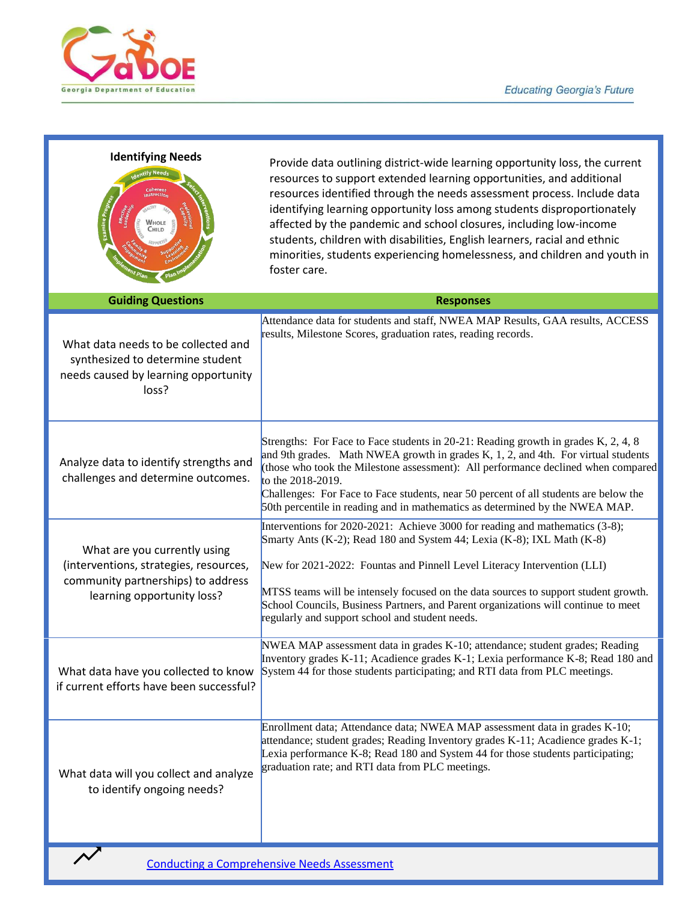

| <b>Identifying Needs</b>                                |                                                                                                                                     |                                    |  |  |  |
|---------------------------------------------------------|-------------------------------------------------------------------------------------------------------------------------------------|------------------------------------|--|--|--|
|                                                         | <b>Identify Needs</b>                                                                                                               |                                    |  |  |  |
|                                                         | Coherent<br><b>Instruction</b>                                                                                                      |                                    |  |  |  |
| Examine Progr <sub>ess</sub><br>Effective<br>Leadership | CALTHY<br>SAFF<br>WHOLE<br><b>SAGED</b><br>HALLENGER<br>CHILD<br><b>SUPPORTED</b><br>Supportive<br><b>Rando</b><br><b>Community</b> | Contractor Section<br>protessional |  |  |  |
| Engagement<br><b>Fralement Plan</b>                     |                                                                                                                                     | Plan Implementation                |  |  |  |

Provide data outlining district-wide learning opportunity loss, the current resources to support extended learning opportunities, and additional resources identified through the needs assessment process. Include data identifying learning opportunity loss among students disproportionately affected by the pandemic and school closures, including low-income students, children with disabilities, English learners, racial and ethnic minorities, students experiencing homelessness, and children and youth in foster care.

| <b>Guiding Questions</b>                                                                                                                   | <b>Responses</b>                                                                                                                                                                                                                                                                                                                                                                                                                                                   |
|--------------------------------------------------------------------------------------------------------------------------------------------|--------------------------------------------------------------------------------------------------------------------------------------------------------------------------------------------------------------------------------------------------------------------------------------------------------------------------------------------------------------------------------------------------------------------------------------------------------------------|
| What data needs to be collected and<br>synthesized to determine student<br>needs caused by learning opportunity<br>loss?                   | Attendance data for students and staff, NWEA MAP Results, GAA results, ACCESS<br>results, Milestone Scores, graduation rates, reading records.                                                                                                                                                                                                                                                                                                                     |
| Analyze data to identify strengths and<br>challenges and determine outcomes.                                                               | Strengths: For Face to Face students in 20-21: Reading growth in grades K, 2, 4, 8<br>and 9th grades. Math NWEA growth in grades K, 1, 2, and 4th. For virtual students<br>(those who took the Milestone assessment): All performance declined when compared<br>to the 2018-2019.<br>Challenges: For Face to Face students, near 50 percent of all students are below the<br>50th percentile in reading and in mathematics as determined by the NWEA MAP.          |
| What are you currently using<br>(interventions, strategies, resources,<br>community partnerships) to address<br>learning opportunity loss? | Interventions for 2020-2021: Achieve 3000 for reading and mathematics (3-8);<br>Smarty Ants (K-2); Read 180 and System 44; Lexia (K-8); IXL Math (K-8)<br>New for 2021-2022: Fountas and Pinnell Level Literacy Intervention (LLI)<br>MTSS teams will be intensely focused on the data sources to support student growth.<br>School Councils, Business Partners, and Parent organizations will continue to meet<br>regularly and support school and student needs. |
| What data have you collected to know<br>if current efforts have been successful?                                                           | NWEA MAP assessment data in grades K-10; attendance; student grades; Reading<br>Inventory grades K-11; Acadience grades K-1; Lexia performance K-8; Read 180 and<br>System 44 for those students participating; and RTI data from PLC meetings.                                                                                                                                                                                                                    |
| What data will you collect and analyze<br>to identify ongoing needs?                                                                       | Enrollment data; Attendance data; NWEA MAP assessment data in grades K-10;<br>attendance; student grades; Reading Inventory grades K-11; Acadience grades K-1;<br>Lexia performance K-8; Read 180 and System 44 for those students participating;<br>graduation rate; and RTI data from PLC meetings.                                                                                                                                                              |

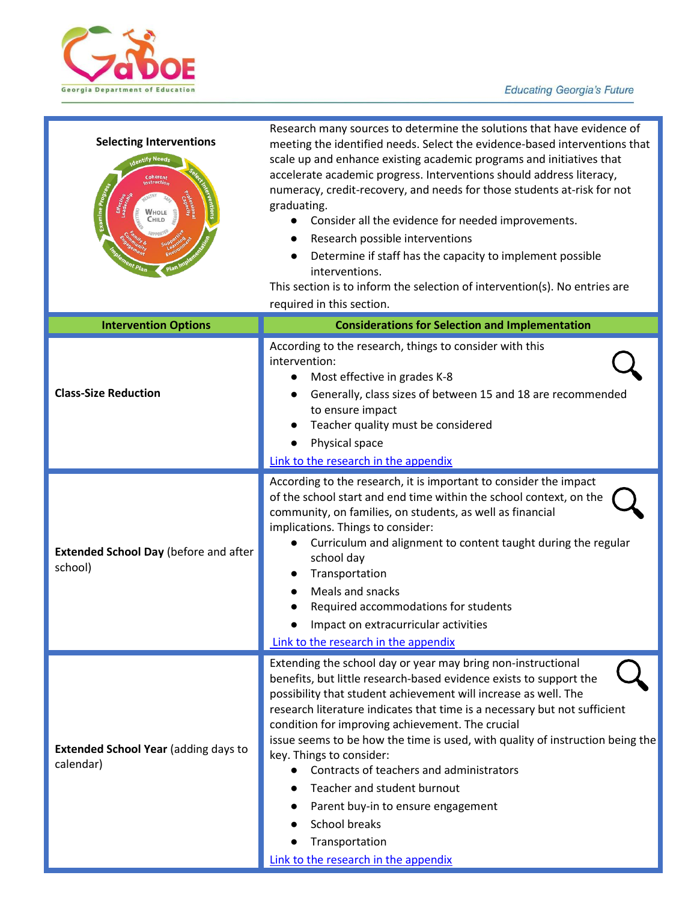

| <b>Selecting Interventions</b><br>ntify Need<br>Coherent<br>nstruction<br>Examine Pro<br>Child | Research many sources to determine the solutions that have evidence of<br>meeting the identified needs. Select the evidence-based interventions that<br>scale up and enhance existing academic programs and initiatives that<br>accelerate academic progress. Interventions should address literacy,<br>numeracy, credit-recovery, and needs for those students at-risk for not<br>graduating.<br>Consider all the evidence for needed improvements.<br>Research possible interventions<br>Determine if staff has the capacity to implement possible<br>interventions.<br>This section is to inform the selection of intervention(s). No entries are<br>required in this section. |  |  |  |  |
|------------------------------------------------------------------------------------------------|-----------------------------------------------------------------------------------------------------------------------------------------------------------------------------------------------------------------------------------------------------------------------------------------------------------------------------------------------------------------------------------------------------------------------------------------------------------------------------------------------------------------------------------------------------------------------------------------------------------------------------------------------------------------------------------|--|--|--|--|
| <b>Intervention Options</b>                                                                    | <b>Considerations for Selection and Implementation</b>                                                                                                                                                                                                                                                                                                                                                                                                                                                                                                                                                                                                                            |  |  |  |  |
| <b>Class-Size Reduction</b>                                                                    | According to the research, things to consider with this<br>intervention:<br>Most effective in grades K-8<br>$\bullet$<br>Generally, class sizes of between 15 and 18 are recommended<br>to ensure impact<br>Teacher quality must be considered<br>Physical space<br>Link to the research in the appendix                                                                                                                                                                                                                                                                                                                                                                          |  |  |  |  |
| <b>Extended School Day (before and after</b><br>school)                                        | According to the research, it is important to consider the impact<br>of the school start and end time within the school context, on the<br>community, on families, on students, as well as financial<br>implications. Things to consider:<br>Curriculum and alignment to content taught during the regular<br>school day<br>Transportation<br>Meals and snacks<br>Required accommodations for students<br>Impact on extracurricular activities<br>Link to the research in the appendix                                                                                                                                                                                            |  |  |  |  |
| <b>Extended School Year (adding days to</b><br>calendar)                                       | Extending the school day or year may bring non-instructional<br>benefits, but little research-based evidence exists to support the<br>possibility that student achievement will increase as well. The<br>research literature indicates that time is a necessary but not sufficient<br>condition for improving achievement. The crucial<br>issue seems to be how the time is used, with quality of instruction being the<br>key. Things to consider:<br>Contracts of teachers and administrators<br>Teacher and student burnout<br>Parent buy-in to ensure engagement<br><b>School breaks</b><br>Transportation<br>Link to the research in the appendix                            |  |  |  |  |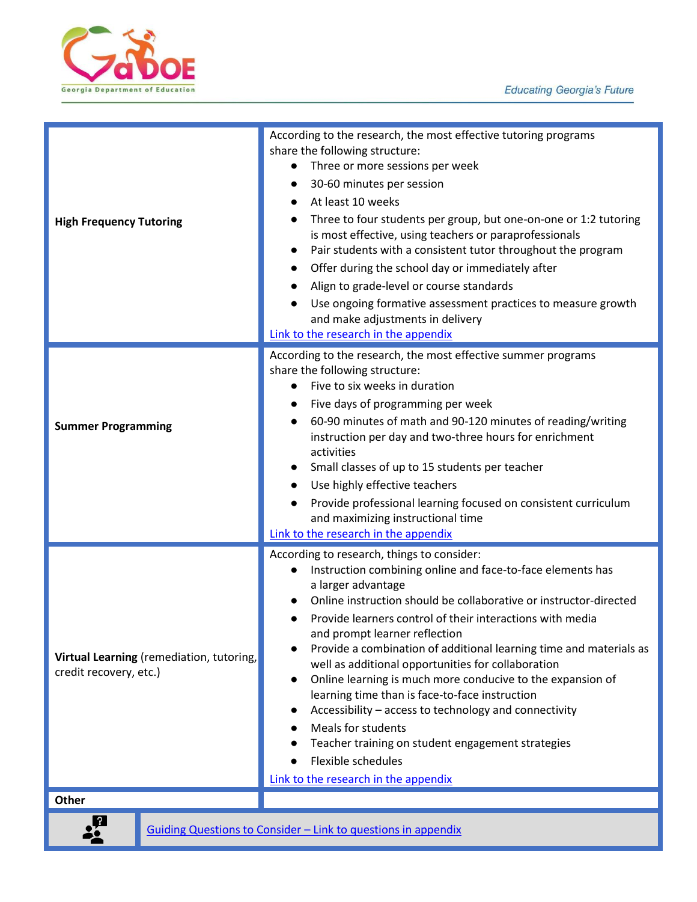



| <b>High Frequency Tutoring</b>                                     | According to the research, the most effective tutoring programs<br>share the following structure:<br>Three or more sessions per week<br>30-60 minutes per session<br>$\bullet$<br>At least 10 weeks<br>Three to four students per group, but one-on-one or 1:2 tutoring<br>$\bullet$<br>is most effective, using teachers or paraprofessionals<br>Pair students with a consistent tutor throughout the program<br>$\bullet$<br>Offer during the school day or immediately after<br>Align to grade-level or course standards<br>$\bullet$<br>Use ongoing formative assessment practices to measure growth<br>and make adjustments in delivery<br>Link to the research in the appendix                                                            |  |  |  |  |
|--------------------------------------------------------------------|-------------------------------------------------------------------------------------------------------------------------------------------------------------------------------------------------------------------------------------------------------------------------------------------------------------------------------------------------------------------------------------------------------------------------------------------------------------------------------------------------------------------------------------------------------------------------------------------------------------------------------------------------------------------------------------------------------------------------------------------------|--|--|--|--|
| <b>Summer Programming</b>                                          | According to the research, the most effective summer programs<br>share the following structure:<br>Five to six weeks in duration<br>Five days of programming per week<br>$\bullet$<br>60-90 minutes of math and 90-120 minutes of reading/writing<br>instruction per day and two-three hours for enrichment<br>activities<br>Small classes of up to 15 students per teacher<br>Use highly effective teachers<br>Provide professional learning focused on consistent curriculum<br>and maximizing instructional time<br>Link to the research in the appendix                                                                                                                                                                                     |  |  |  |  |
| Virtual Learning (remediation, tutoring,<br>credit recovery, etc.) | According to research, things to consider:<br>Instruction combining online and face-to-face elements has<br>a larger advantage<br>Online instruction should be collaborative or instructor-directed<br>Provide learners control of their interactions with media<br>and prompt learner reflection<br>Provide a combination of additional learning time and materials as<br>well as additional opportunities for collaboration<br>Online learning is much more conducive to the expansion of<br>learning time than is face-to-face instruction<br>Accessibility - access to technology and connectivity<br>Meals for students<br>Teacher training on student engagement strategies<br>Flexible schedules<br>Link to the research in the appendix |  |  |  |  |
| Other                                                              |                                                                                                                                                                                                                                                                                                                                                                                                                                                                                                                                                                                                                                                                                                                                                 |  |  |  |  |
|                                                                    | Guiding Questions to Consider - Link to questions in appendix                                                                                                                                                                                                                                                                                                                                                                                                                                                                                                                                                                                                                                                                                   |  |  |  |  |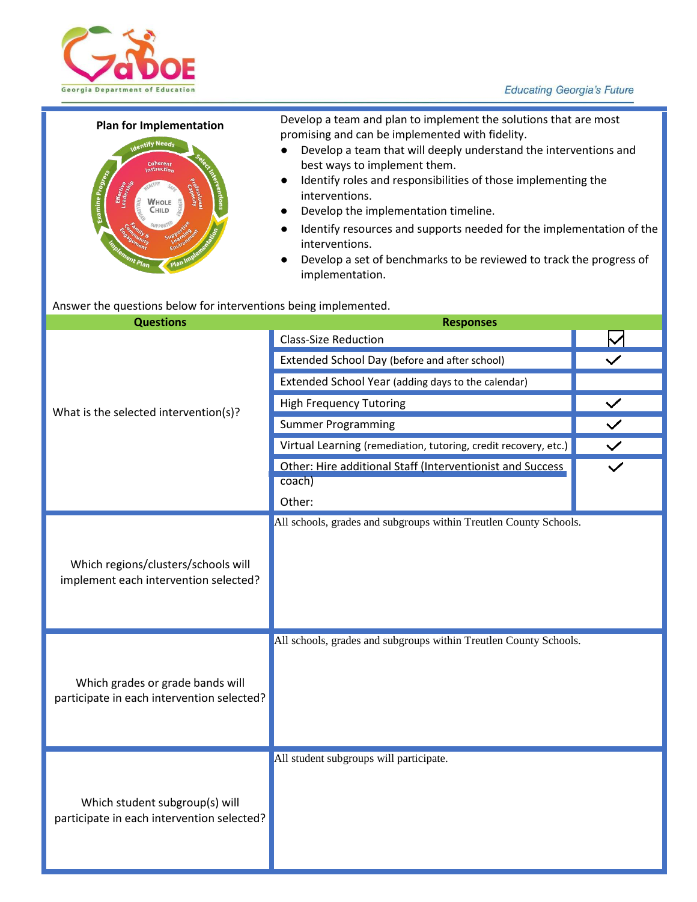#### **Educating Georgia's Future**



# WHOLE  $C<sub>HII</sub>$

**Plan for Implementation** Develop a team and plan to implement the solutions that are most promising and can be implemented with fidelity.

- Develop a team that will deeply understand the interventions and best ways to implement them.
- Identify roles and responsibilities of those implementing the interventions.
- Develop the implementation timeline.
- Identify resources and supports needed for the implementation of the interventions.
- Develop a set of benchmarks to be reviewed to track the progress of implementation.

#### Answer the questions below for interventions being implemented.

| <b>Questions</b>                                                               | <b>Responses</b>                                                    |              |  |  |
|--------------------------------------------------------------------------------|---------------------------------------------------------------------|--------------|--|--|
|                                                                                | <b>Class-Size Reduction</b>                                         |              |  |  |
|                                                                                | Extended School Day (before and after school)                       |              |  |  |
|                                                                                | Extended School Year (adding days to the calendar)                  |              |  |  |
| What is the selected intervention(s)?                                          | <b>High Frequency Tutoring</b>                                      | $\checkmark$ |  |  |
|                                                                                | <b>Summer Programming</b>                                           |              |  |  |
|                                                                                | Virtual Learning (remediation, tutoring, credit recovery, etc.)     | $\checkmark$ |  |  |
|                                                                                | Other: Hire additional Staff (Interventionist and Success<br>coach) |              |  |  |
|                                                                                | Other:                                                              |              |  |  |
| Which regions/clusters/schools will<br>implement each intervention selected?   | All schools, grades and subgroups within Treutlen County Schools.   |              |  |  |
| Which grades or grade bands will<br>participate in each intervention selected? | All schools, grades and subgroups within Treutlen County Schools.   |              |  |  |
| Which student subgroup(s) will<br>participate in each intervention selected?   | All student subgroups will participate.                             |              |  |  |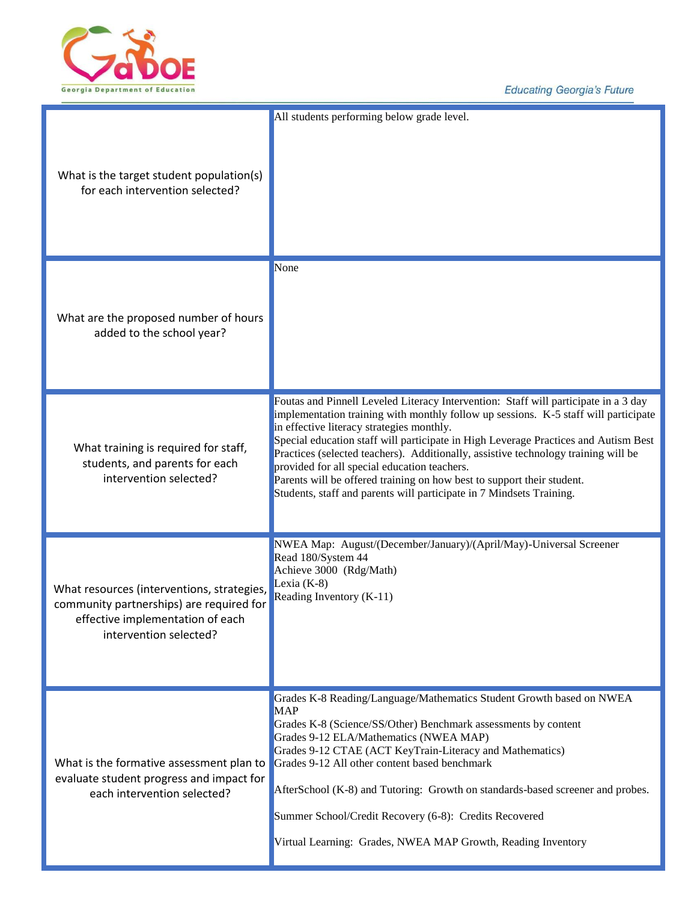

**Educating Georgia's Future** 

| What is the target student population(s)<br>for each intervention selected?                                                                          | All students performing below grade level.                                                                                                                                                                                                                                                                                                                                                                                                                                                                                                                                                             |
|------------------------------------------------------------------------------------------------------------------------------------------------------|--------------------------------------------------------------------------------------------------------------------------------------------------------------------------------------------------------------------------------------------------------------------------------------------------------------------------------------------------------------------------------------------------------------------------------------------------------------------------------------------------------------------------------------------------------------------------------------------------------|
| What are the proposed number of hours<br>added to the school year?                                                                                   | None                                                                                                                                                                                                                                                                                                                                                                                                                                                                                                                                                                                                   |
| What training is required for staff,<br>students, and parents for each<br>intervention selected?                                                     | Foutas and Pinnell Leveled Literacy Intervention: Staff will participate in a 3 day<br>implementation training with monthly follow up sessions. K-5 staff will participate<br>in effective literacy strategies monthly.<br>Special education staff will participate in High Leverage Practices and Autism Best<br>Practices (selected teachers). Additionally, assistive technology training will be<br>provided for all special education teachers.<br>Parents will be offered training on how best to support their student.<br>Students, staff and parents will participate in 7 Mindsets Training. |
| What resources (interventions, strategies,<br>community partnerships) are required for<br>effective implementation of each<br>intervention selected? | NWEA Map: August/(December/January)/(April/May)-Universal Screener<br>Read 180/System 44<br>Achieve 3000 (Rdg/Math)<br>Lexia $(K-8)$<br>Reading Inventory (K-11)                                                                                                                                                                                                                                                                                                                                                                                                                                       |
| What is the formative assessment plan to<br>evaluate student progress and impact for<br>each intervention selected?                                  | Grades K-8 Reading/Language/Mathematics Student Growth based on NWEA<br><b>MAP</b><br>Grades K-8 (Science/SS/Other) Benchmark assessments by content<br>Grades 9-12 ELA/Mathematics (NWEA MAP)<br>Grades 9-12 CTAE (ACT KeyTrain-Literacy and Mathematics)<br>Grades 9-12 All other content based benchmark<br>AfterSchool (K-8) and Tutoring: Growth on standards-based screener and probes.<br>Summer School/Credit Recovery (6-8): Credits Recovered<br>Virtual Learning: Grades, NWEA MAP Growth, Reading Inventory                                                                                |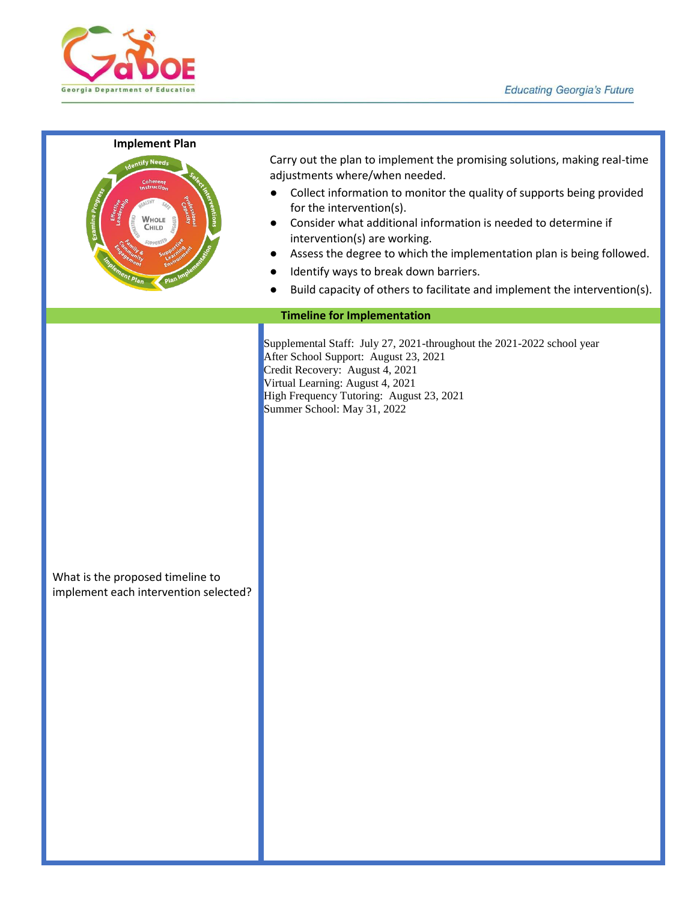

#### **Implement Plan**

WHOLE Гышп

Carry out the plan to implement the promising solutions, making real-time adjustments where/when needed.

- Collect information to monitor the quality of supports being provided for the intervention(s).
- Consider what additional information is needed to determine if intervention(s) are working.
- Assess the degree to which the implementation plan is being followed.
- Identify ways to break down barriers.
- Build capacity of others to facilitate and implement the intervention(s).

#### **Timeline for Implementation**

Supplemental Staff: July 27, 2021-throughout the 2021-2022 school year After School Support: August 23, 2021 Credit Recovery: August 4, 2021 Virtual Learning: August 4, 2021 High Frequency Tutoring: August 23, 2021 Summer School: May 31, 2022

What is the proposed timeline to implement each intervention selected?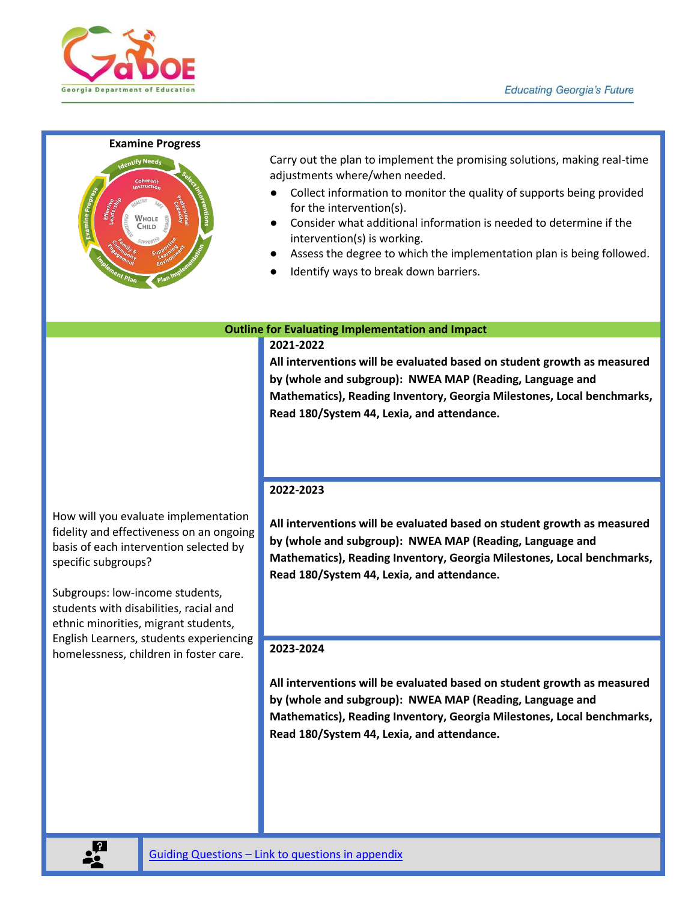

#### **Examine Progress**



Carry out the plan to implement the promising solutions, making real-time adjustments where/when needed.

- Collect information to monitor the quality of supports being provided for the intervention(s).
- Consider what additional information is needed to determine if the intervention(s) is working.
- Assess the degree to which the implementation plan is being followed.
- Identify ways to break down barriers.

#### **Outline for Evaluating Implementation and Impact**

#### **2021-2022**

**All interventions will be evaluated based on student growth as measured by (whole and subgroup): NWEA MAP (Reading, Language and Mathematics), Reading Inventory, Georgia Milestones, Local benchmarks, Read 180/System 44, Lexia, and attendance.** 

How will you evaluate implementation fidelity and effectiveness on an ongoing basis of each intervention selected by specific subgroups?

Subgroups: low-income students, students with disabilities, racial and ethnic minorities, migrant students, English Learners, students experiencing homelessness, children in foster care.

#### **2022-2023**

**All interventions will be evaluated based on student growth as measured by (whole and subgroup): NWEA MAP (Reading, Language and Mathematics), Reading Inventory, Georgia Milestones, Local benchmarks, Read 180/System 44, Lexia, and attendance.**

#### **2023-2024**

**All interventions will be evaluated based on student growth as measured by (whole and subgroup): NWEA MAP (Reading, Language and Mathematics), Reading Inventory, Georgia Milestones, Local benchmarks, Read 180/System 44, Lexia, and attendance.**

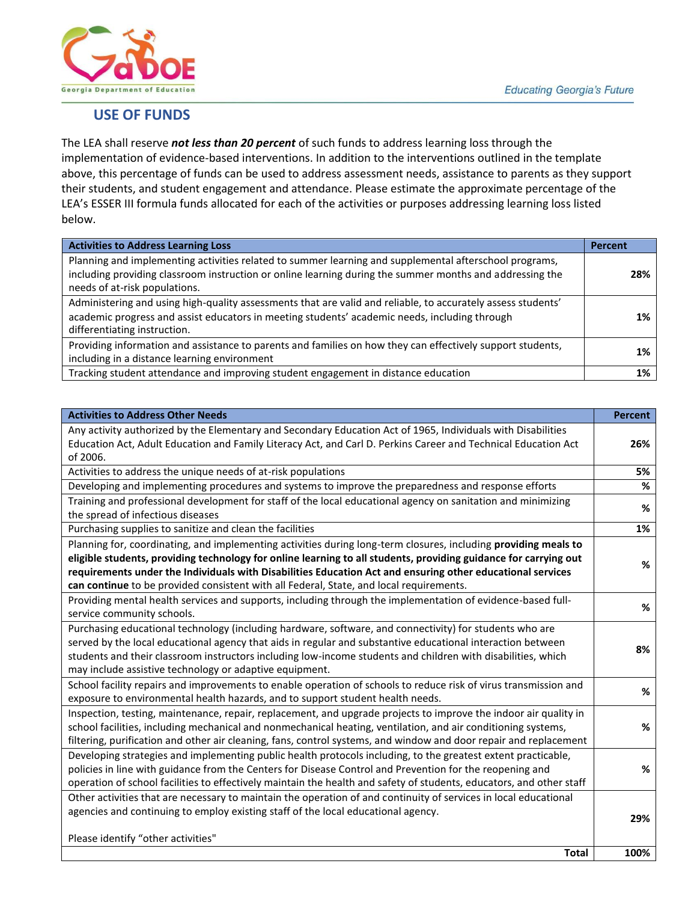

### **USE OF FUNDS**

The LEA shall reserve *not less than 20 percent* of such funds to address learning loss through the implementation of evidence-based interventions. In addition to the interventions outlined in the template above, this percentage of funds can be used to address assessment needs, assistance to parents as they support their students, and student engagement and attendance. Please estimate the approximate percentage of the LEA's ESSER III formula funds allocated for each of the activities or purposes addressing learning loss listed below.

| <b>Activities to Address Learning Loss</b>                                                                                                                                                                                                          | Percent |
|-----------------------------------------------------------------------------------------------------------------------------------------------------------------------------------------------------------------------------------------------------|---------|
| Planning and implementing activities related to summer learning and supplemental afterschool programs,<br>including providing classroom instruction or online learning during the summer months and addressing the<br>needs of at-risk populations. | 28%     |
| Administering and using high-quality assessments that are valid and reliable, to accurately assess students'<br>academic progress and assist educators in meeting students' academic needs, including through<br>differentiating instruction.       | 1%      |
| Providing information and assistance to parents and families on how they can effectively support students,<br>including in a distance learning environment                                                                                          | 1%      |
| Tracking student attendance and improving student engagement in distance education                                                                                                                                                                  | 1%      |

| <b>Activities to Address Other Needs</b>                                                                                                                                                                                                                                                                                                                                                                                                     | <b>Percent</b> |
|----------------------------------------------------------------------------------------------------------------------------------------------------------------------------------------------------------------------------------------------------------------------------------------------------------------------------------------------------------------------------------------------------------------------------------------------|----------------|
| Any activity authorized by the Elementary and Secondary Education Act of 1965, Individuals with Disabilities<br>Education Act, Adult Education and Family Literacy Act, and Carl D. Perkins Career and Technical Education Act<br>of 2006.                                                                                                                                                                                                   | 26%            |
| Activities to address the unique needs of at-risk populations                                                                                                                                                                                                                                                                                                                                                                                | 5%             |
| Developing and implementing procedures and systems to improve the preparedness and response efforts                                                                                                                                                                                                                                                                                                                                          | %              |
| Training and professional development for staff of the local educational agency on sanitation and minimizing<br>the spread of infectious diseases                                                                                                                                                                                                                                                                                            | %              |
| Purchasing supplies to sanitize and clean the facilities                                                                                                                                                                                                                                                                                                                                                                                     | 1%             |
| Planning for, coordinating, and implementing activities during long-term closures, including providing meals to<br>eligible students, providing technology for online learning to all students, providing guidance for carrying out<br>requirements under the Individuals with Disabilities Education Act and ensuring other educational services<br>can continue to be provided consistent with all Federal, State, and local requirements. | %              |
| Providing mental health services and supports, including through the implementation of evidence-based full-<br>service community schools.                                                                                                                                                                                                                                                                                                    | %              |
| Purchasing educational technology (including hardware, software, and connectivity) for students who are<br>served by the local educational agency that aids in regular and substantive educational interaction between<br>students and their classroom instructors including low-income students and children with disabilities, which<br>may include assistive technology or adaptive equipment.                                            | 8%             |
| School facility repairs and improvements to enable operation of schools to reduce risk of virus transmission and<br>exposure to environmental health hazards, and to support student health needs.                                                                                                                                                                                                                                           | %              |
| Inspection, testing, maintenance, repair, replacement, and upgrade projects to improve the indoor air quality in<br>school facilities, including mechanical and nonmechanical heating, ventilation, and air conditioning systems,<br>filtering, purification and other air cleaning, fans, control systems, and window and door repair and replacement                                                                                       | %              |
| Developing strategies and implementing public health protocols including, to the greatest extent practicable,<br>policies in line with guidance from the Centers for Disease Control and Prevention for the reopening and<br>operation of school facilities to effectively maintain the health and safety of students, educators, and other staff                                                                                            | %              |
| Other activities that are necessary to maintain the operation of and continuity of services in local educational<br>agencies and continuing to employ existing staff of the local educational agency.<br>Please identify "other activities"                                                                                                                                                                                                  | 29%            |
| <b>Total</b>                                                                                                                                                                                                                                                                                                                                                                                                                                 | 100%           |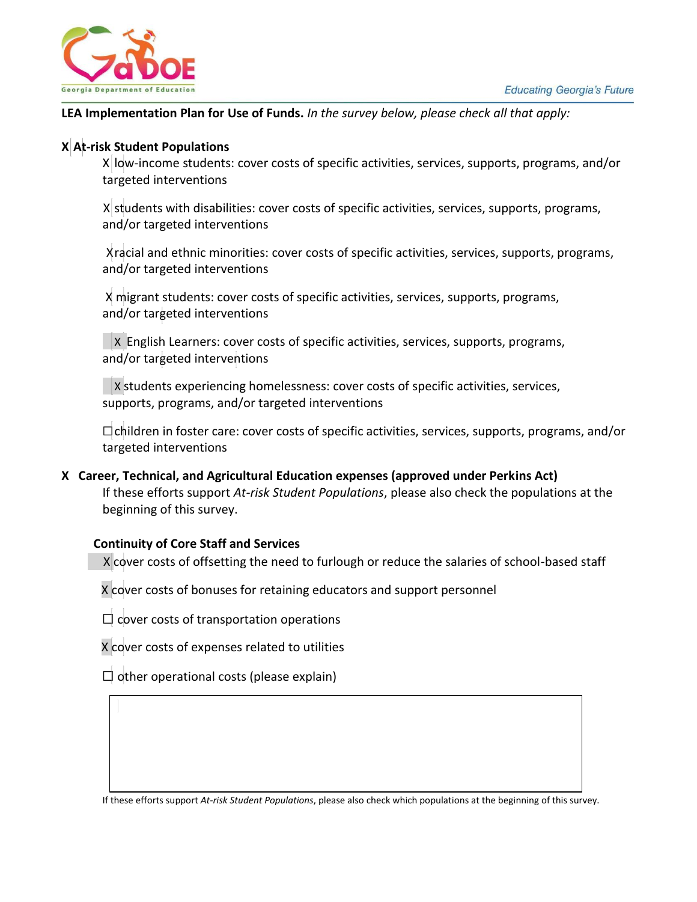

#### **LEA Implementation Plan for Use of Funds.** *In the survey below, please check all that apply:*

# **X At-risk Student Populations** X

X low-income students: cover costs of specific activities, services, supports, programs, and/or targeted interventions

X students with disabilities: cover costs of specific activities, services, supports, programs, and/or targeted interventions

 Xracial and ethnic minorities: cover costs of specific activities, services, supports, programs, and/or targeted interventions

X migrant students: cover costs of specific activities, services, supports, programs, and/or targeted interventions

 $\vert$ X English Learners: cover costs of specific activities, services, supports, programs, and/or targeted interventions

X students experiencing homelessness: cover costs of specific activities, services, supports, programs, and/or targeted interventions

☐children in foster care: cover costs of specific activities, services, supports, programs, and/or targeted interventions

**X Career, Technical, and Agricultural Education expenses (approved under Perkins Act)** If these efforts support *At-risk Student Populations*, please also check the populations at the beginning of this survey.

#### **Continuity of Core Staff and Services**

X cover costs of offsetting the need to furlough or reduce the salaries of school-based staff

X cover costs of bonuses for retaining educators and support personnel

 $\Box$  cover costs of transportation operations

X cover costs of expenses related to utilities

 $\Box$  other operational costs (please explain)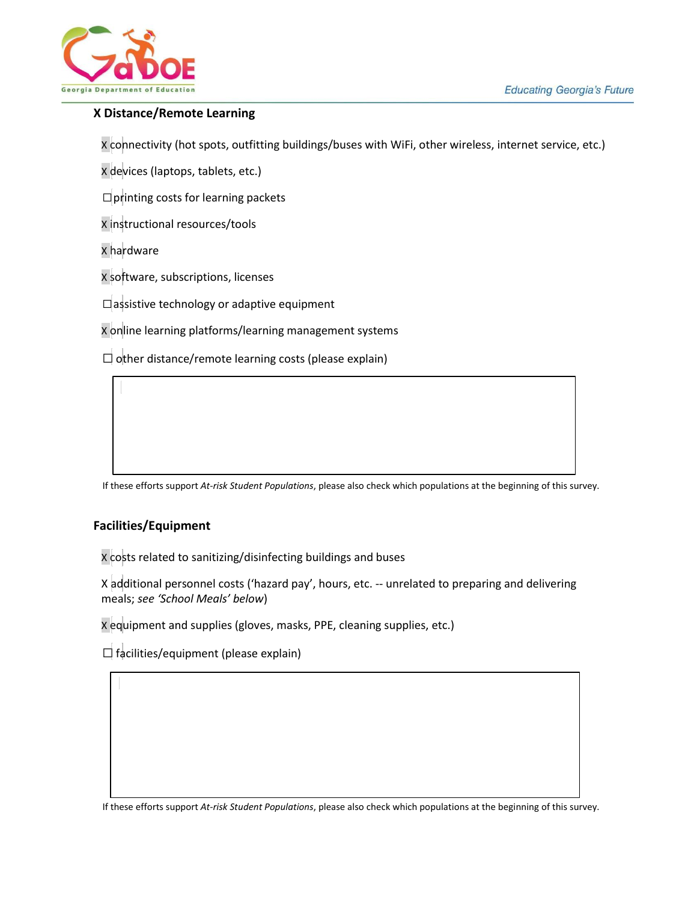

#### **X Distance/Remote Learning**

X connectivity (hot spots, outfitting buildings/buses with WiFi, other wireless, internet service, etc.)

X devices (laptops, tablets, etc.)

 $\square$  printing costs for learning packets

X instructional resources/tools

X hardware

X software, subscriptions, licenses

☐assistive technology or adaptive equipment

X online learning platforms/learning management systems

 $\Box$  other distance/remote learning costs (please explain)

If these efforts support *At-risk Student Populations*, please also check which populations at the beginning of this survey.

#### **Facilities/Equipment**

X costs related to sanitizing/disinfecting buildings and buses

X additional personnel costs ('hazard pay', hours, etc. -- unrelated to preparing and delivering meals; *see 'School Meals' below*)

X equipment and supplies (gloves, masks, PPE, cleaning supplies, etc.)

 $\Box$  facilities/equipment (please explain)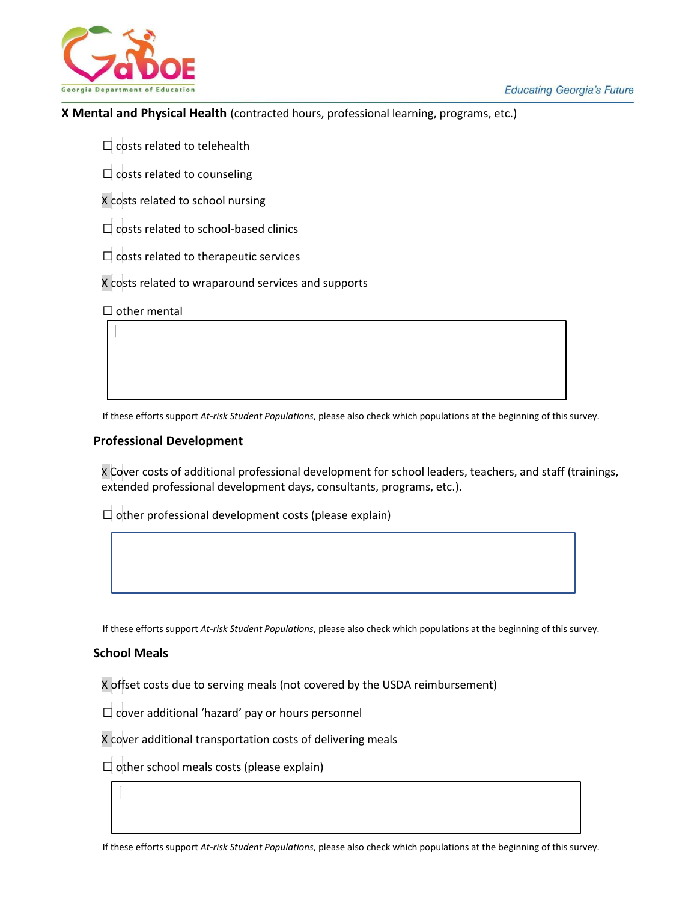



#### **X Mental and Physical Health** (contracted hours, professional learning, programs, etc.)

 $\Box$  costs related to telehealth

 $\Box$  costs related to counseling

X costs related to school nursing

 $\Box$  costs related to school-based clinics

 $\Box$  costs related to therapeutic services

X costs related to wraparound services and supports

 $\Box$  other mental

If these efforts support *At-risk Student Populations*, please also check which populations at the beginning of this survey.

#### **Professional Development**

X Cover costs of additional professional development for school leaders, teachers, and staff (trainings, extended professional development days, consultants, programs, etc.).

 $\Box$  other professional development costs (please explain)

If these efforts support *At-risk Student Populations*, please also check which populations at the beginning of this survey.

#### **School Meals**

X offset costs due to serving meals (not covered by the USDA reimbursement)

 $\Box$  cover additional 'hazard' pay or hours personnel

X cover additional transportation costs of delivering meals

 $\Box$  other school meals costs (please explain)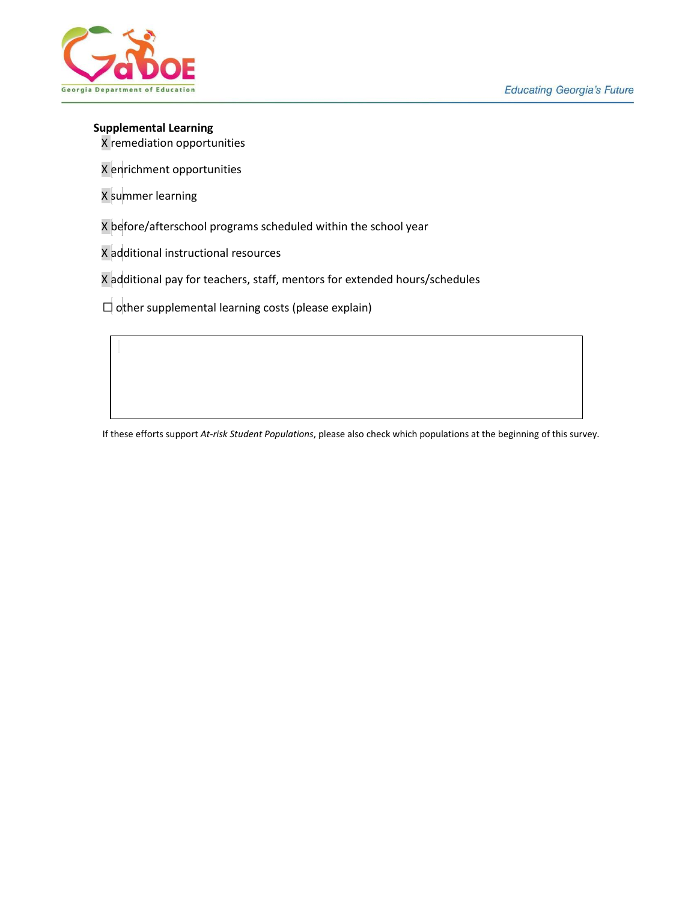

#### **Supplemental Learning**

X remediation opportunities

X enrichment opportunities

X summer learning

X before/afterschool programs scheduled within the school year

X additional instructional resources

X additional pay for teachers, staff, mentors for extended hours/schedules

 $\Box$  other supplemental learning costs (please explain)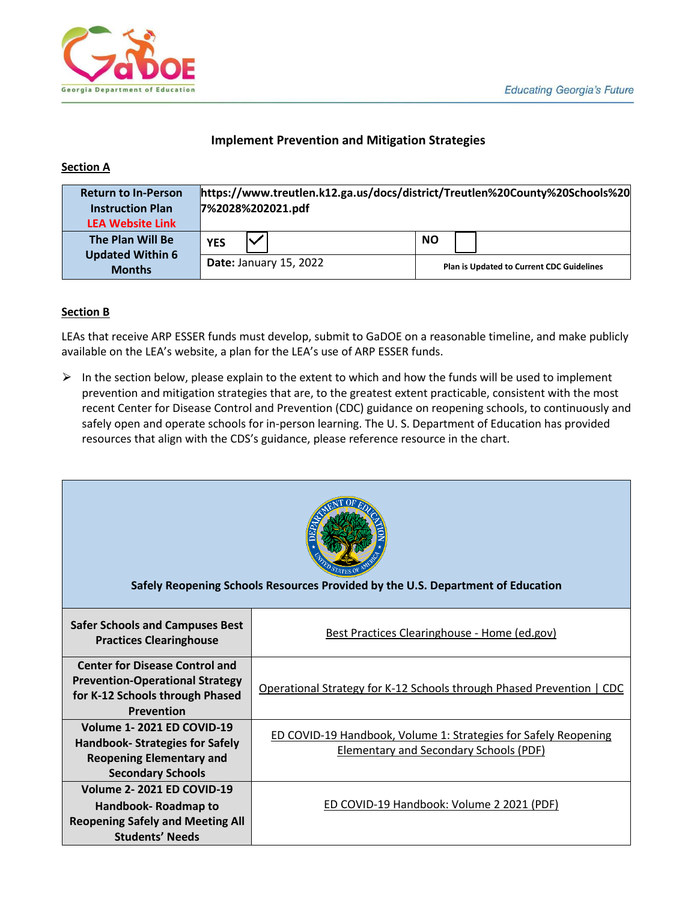

#### **Implement Prevention and Mitigation Strategies**

#### **Section A**

| <b>Return to In-Person</b><br><b>Instruction Plan</b><br><b>LEA Website Link</b> | https://www.treutlen.k12.ga.us/docs/district/Treutlen%20County%20Schools%20<br>7%2028%202021.pdf |                                                                            |  |           |  |  |
|----------------------------------------------------------------------------------|--------------------------------------------------------------------------------------------------|----------------------------------------------------------------------------|--|-----------|--|--|
| The Plan Will Be                                                                 | <b>YES</b>                                                                                       |                                                                            |  | <b>NO</b> |  |  |
| <b>Updated Within 6</b><br><b>Months</b>                                         |                                                                                                  | <b>Date: January 15, 2022</b><br>Plan is Updated to Current CDC Guidelines |  |           |  |  |

#### **Section B**

LEAs that receive ARP ESSER funds must develop, submit to GaDOE on a reasonable timeline, and make publicly available on the LEA's website, a plan for the LEA's use of ARP ESSER funds.

 $\triangleright$  In the section below, please explain to the extent to which and how the funds will be used to implement prevention and mitigation strategies that are, to the greatest extent practicable, consistent with the most recent Center for Disease Control and Prevention (CDC) guidance on reopening schools, to continuously and safely open and operate schools for in-person learning. The U. S. Department of Education has provided resources that align with the CDS's guidance, please reference resource in the chart.

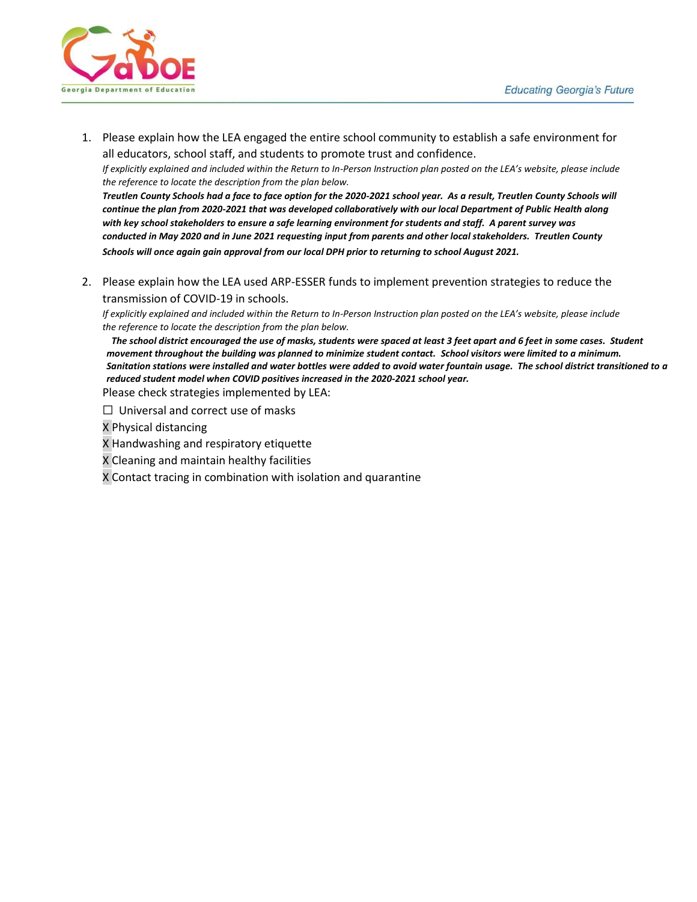

1. Please explain how the LEA engaged the entire school community to establish a safe environment for all educators, school staff, and students to promote trust and confidence.

*If explicitly explained and included within the Return to In-Person Instruction plan posted on the LEA's website, please include the reference to locate the description from the plan below.*

*Treutlen County Schools had a face to face option for the 2020-2021 school year. As a result, Treutlen County Schools will continue the plan from 2020-2021 that was developed collaboratively with our local Department of Public Health along with key school stakeholders to ensure a safe learning environment for students and staff. A parent survey was conducted in May 2020 and in June 2021 requesting input from parents and other local stakeholders. Treutlen County Schools will once again gain approval from our local DPH prior to returning to school August 2021.* 

2. Please explain how the LEA used ARP-ESSER funds to implement prevention strategies to reduce the transmission of COVID-19 in schools.

*If explicitly explained and included within the Return to In-Person Instruction plan posted on the LEA's website, please include the reference to locate the description from the plan below.*

*The school district encouraged the use of masks, students were spaced at least 3 feet apart and 6 feet in some cases. Student movement throughout the building was planned to minimize student contact. School visitors were limited to a minimum. Sanitation stations were installed and water bottles were added to avoid water fountain usage. The school district transitioned to a reduced student model when COVID positives increased in the 2020-2021 school year.* 

Please check strategies implemented by LEA:

 $\Box$  Universal and correct use of masks

X Physical distancing

- X Handwashing and respiratory etiquette
- X Cleaning and maintain healthy facilities

X Contact tracing in combination with isolation and quarantine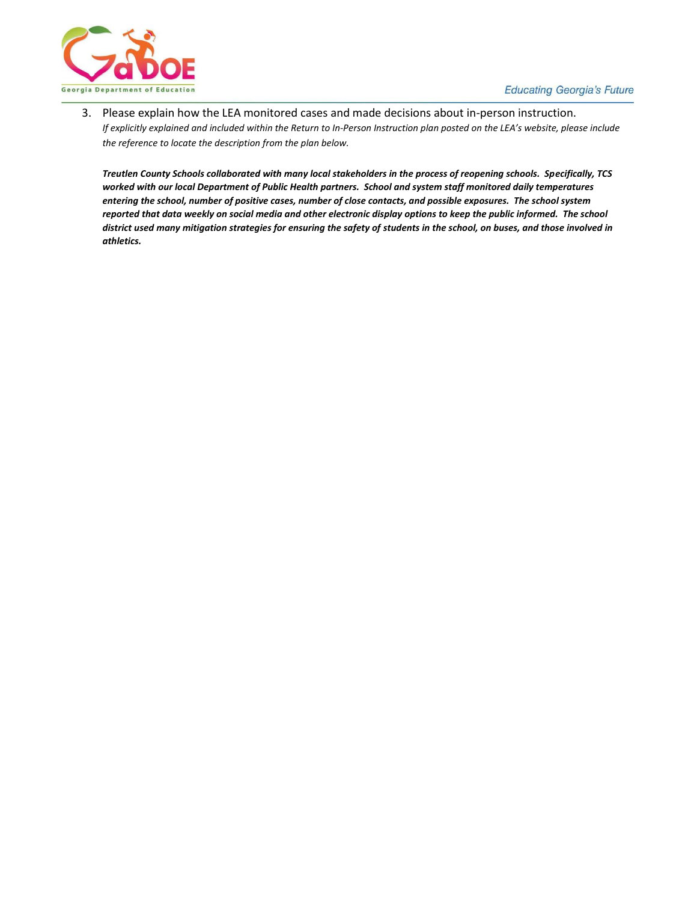3. Please explain how the LEA monitored cases and made decisions about in-person instruction. *If explicitly explained and included within the Return to In-Person Instruction plan posted on the LEA's website, please include the reference to locate the description from the plan below.*

*Treutlen County Schools collaborated with many local stakeholders in the process of reopening schools. Specifically, TCS worked with our local Department of Public Health partners. School and system staff monitored daily temperatures entering the school, number of positive cases, number of close contacts, and possible exposures. The school system reported that data weekly on social media and other electronic display options to keep the public informed. The school district used many mitigation strategies for ensuring the safety of students in the school, on buses, and those involved in athletics.*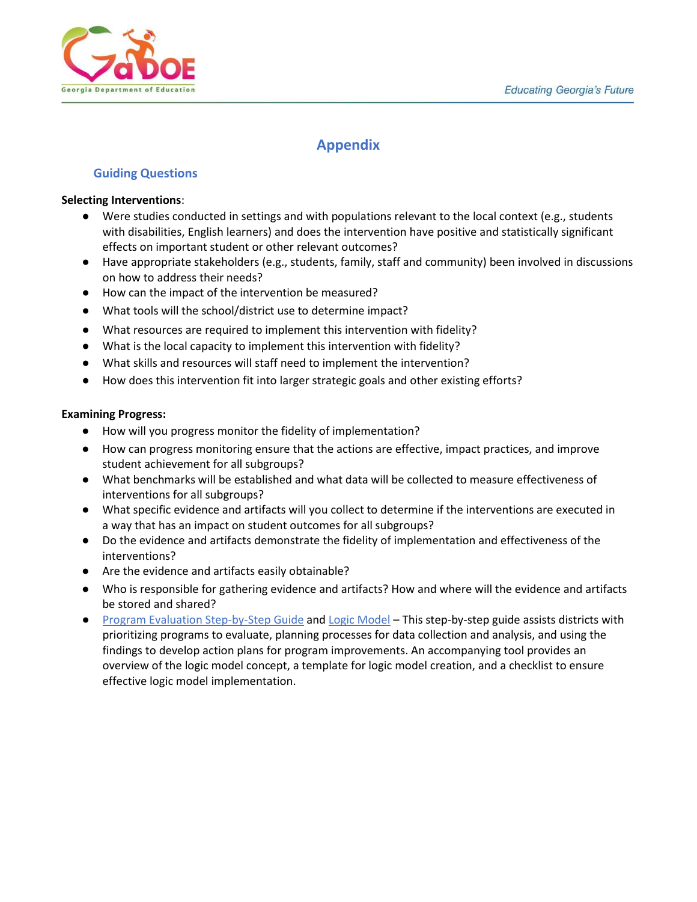

# **Appendix**

#### **Guiding Questions**

#### <span id="page-17-0"></span>**Selecting Interventions**:

- Were studies conducted in settings and with populations relevant to the local context (e.g., students with disabilities, English learners) and does the intervention have positive and statistically significant effects on important student or other relevant outcomes?
- Have appropriate stakeholders (e.g., students, family, staff and community) been involved in discussions on how to address their needs?
- How can the impact of the intervention be measured?
- What tools will the school/district use to determine impact?
- What resources are required to implement this intervention with fidelity?
- What is the local capacity to implement this intervention with fidelity?
- What skills and resources will staff need to implement the intervention?
- How does this intervention fit into larger strategic goals and other existing efforts?

#### <span id="page-17-1"></span>**Examining Progress:**

- How will you progress monitor the fidelity of implementation?
- How can progress monitoring ensure that the actions are effective, impact practices, and improve student achievement for all subgroups?
- What benchmarks will be established and what data will be collected to measure effectiveness of interventions for all subgroups?
- What specific evidence and artifacts will you collect to determine if the interventions are executed in a way that has an impact on student outcomes for all subgroups?
- Do the evidence and artifacts demonstrate the fidelity of implementation and effectiveness of the interventions?
- Are the evidence and artifacts easily obtainable?
- Who is responsible for gathering evidence and artifacts? How and where will the evidence and artifacts be stored and shared?
- [Program Evaluation Step-by-Step Guide](https://insights.hanoverresearch.com/e2t/tc/VWHbx92NR9z0W8phn7q3gkr5VW178YCN4rd7CvN7bK2ZZ5nxG7V3Zsc37CgD2DN4NcMh6x7BPGW4CrGrC3zMZvcMH1vzylffx9N8rRkc619SgFW93KJXX49PvJvN81J4w-FVKB3W1kvDqj4Y_000W6T12My8HKmpbW8vq_9L7H1WLKVgDG6F4wHMTCW8NyxZN3-WyZmW54VTkf7HyrmhW3d-NpL53BJr4W16NMnh5dJ4TjW7SL9zw9fHXgcN7nN9HckLtqBW5brL2R90Yv9yN6p5Ff4zj8zJW7dcTf94-CqK8N57b0kWbgch0W56xgrr8pWWlFW8QZCqc8ZMQnCW6gttrv5SfWRXW75dBrJ1MM3mWW1py-p767C7x2V4sd3n6Nc_9LW4qv-RK8xkgQPW7zlD_T8tk1stN4v7dGS8cGT_W8kwtdb7mvDbgW8hQRmv1GVQKVW3kG3wj47WcwN3gzR1) and [Logic Model](https://insights.hanoverresearch.com/e2t/tc/VWHbx92NR9z0W8phn7q3gkr5VW178YCN4rd7CvN7bK2-f5nxGrV3Zsc37CgZK1W349xRb4wgpKJW8_FWBN8CgghlW5pn_2n4f0X0LW71xB-Z273K8_W7v_kD62xyQBWW1VGkcN7nNbnyW24wjX790BvYlW3XgM5F2gkZFXN2Jg2Xr6zx5yW19LpcK2qyGM9W5NxD933rJpk4VWpLnQ4l9qC7N8wjSW3ZG3HxW5xWDHw1PcWSzW71MSkL4bG_YbW5qxDJ680ns3hW4rsxP-7KrCfKW3977vw8MFZbZN1M5Mbx8qH4xW7gtQH7662JXVW2Q374c1cD_72W7TySvg4dnSBkW52Plv12xn-MsW3mqJ-L1WSfd_VFv2hq6B1338W86LL612K612ZW4XsF_964jGgfW4J-KZR1tQF2FW4STkMg1ySZr-VyXJJz58MpKSW337jcf4yGG9yW2lN3q_1VcnBMW5dy-l71x71psW3dBmQc70BLsb3djH1) [–](https://insights.hanoverresearch.com/e2t/tc/VWHbx92NR9z0W8phn7q3gkr5VW178YCN4rd7CvN7bK2-f5nxGrV3Zsc37CgZK1W349xRb4wgpKJW8_FWBN8CgghlW5pn_2n4f0X0LW71xB-Z273K8_W7v_kD62xyQBWW1VGkcN7nNbnyW24wjX790BvYlW3XgM5F2gkZFXN2Jg2Xr6zx5yW19LpcK2qyGM9W5NxD933rJpk4VWpLnQ4l9qC7N8wjSW3ZG3HxW5xWDHw1PcWSzW71MSkL4bG_YbW5qxDJ680ns3hW4rsxP-7KrCfKW3977vw8MFZbZN1M5Mbx8qH4xW7gtQH7662JXVW2Q374c1cD_72W7TySvg4dnSBkW52Plv12xn-MsW3mqJ-L1WSfd_VFv2hq6B1338W86LL612K612ZW4XsF_964jGgfW4J-KZR1tQF2FW4STkMg1ySZr-VyXJJz58MpKSW337jcf4yGG9yW2lN3q_1VcnBMW5dy-l71x71psW3dBmQc70BLsb3djH1) This step-by-step guide assists districts with prioritizing programs to evaluate, planning processes for data collection and analysis, and using the findings to develop action plans for program improvements. An accompanying tool provides an overview of the logic model concept, a template for logic model creation, and a checklist to ensure effective logic model implementation.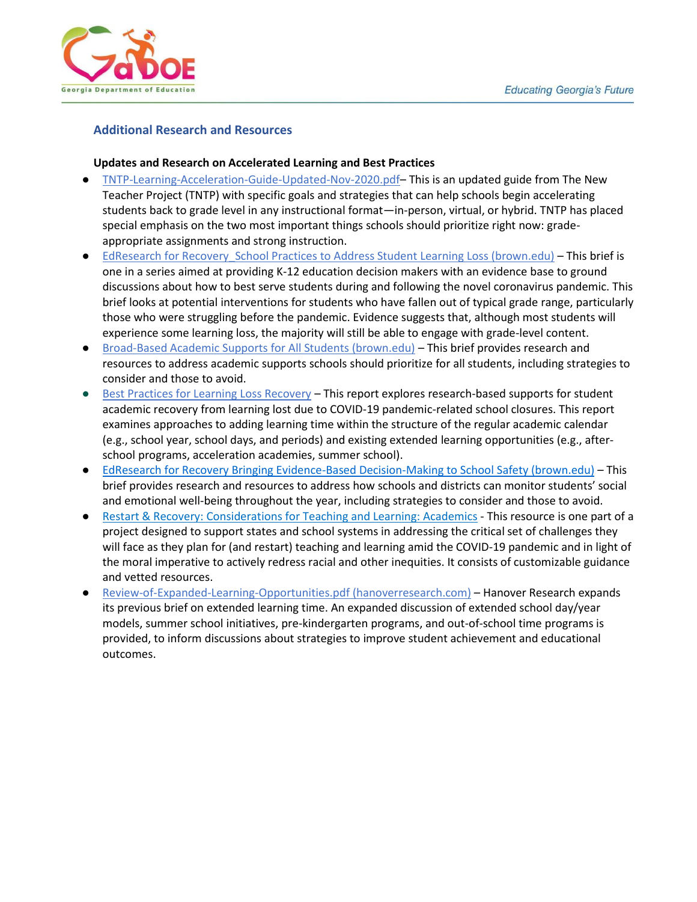

#### <span id="page-18-0"></span>**Additional Research and Resources**

#### **Updates and Research on Accelerated Learning and Best Practices**

- [TNTP-Learning-Acceleration-Guide-Updated-Nov-2020.pdf](https://tntp.org/assets/covid-19-toolkit-resources/TNTP-Learning-Acceleration-Guide-Updated-Nov-2020.pdf) This is an updated guide from The New Teacher Project (TNTP) with specific goals and strategies that can help schools begin accelerating students back to grade level in any instructional format—in-person, virtual, or hybrid. TNTP has placed special emphasis on the two most important things schools should prioritize right now: gradeappropriate assignments and strong instruction.
- EdResearch for Recovery School Practices to Address Student Learning Loss (brown.edu) This brief is one in a series aimed at providing K-12 education decision makers with an evidence base to ground discussions about how to best serve students during and following the novel coronavirus pandemic. This brief looks at potential interventions for students who have fallen out of typical grade range, particularly those who were struggling before the pandemic. Evidence suggests that, although most students will experience some learning loss, the majority will still be able to engage with grade-level content.
- [Broad-Based Academic Supports for All Students \(brown.edu\)](https://annenberg.brown.edu/sites/default/files/EdResearch_for_Recovery_Brief_6.pdf) This brief provides research and resources to address academic supports schools should prioritize for all students, including strategies to consider and those to avoid.
- [Best Practices for Learning Loss Recovery](https://insights.hanoverresearch.com/e2t/tc/VWHbx92NR9z0W8phn7q3gkr5VW178YCN4rd7CvN7bK2ZZ5nxG7V3Zsc37CgYktW88VQqQ6FfQHjW470wNf1x47S6W4fNfcn5z59yMW3fv2Yh2SwT2wN91YThT2wbvBW3pvXb55f1_8yW2hFWff1_yrf8W8WJX-P76bQHxW599VN41dM6pwW2K54kh5NBSbDW94N7VT5wfCMDW1K7Q6k1KMczhW5ssnTL829Cl4W1d8dff4Pyrt0W3Tm7r45QKmTdW3Y808Y5T9VJQW3PfbC62hTHr-VwVd8F556NTSW1dNtRg6ZTYmyW660K4_4fT02HVZmwYF7dwJ3wW4pfnCz9h1QFXW8MK4DK6x5NbnVW1xg18_s-CsW8YvgD57RpM_bW6WBXvs1ZV0PKW8-yvkj5CDZtcN7vjWfyFWbL_N470_RQCmJRKW4-y1r24R5M1BW1BK-L-1RWQn-W93vLsN6cd57R3bpR1) This report explores research-based supports for student academic recovery from learning lost due to COVID-19 pandemic-related school closures. This report examines approaches to adding learning time within the structure of the regular academic calendar (e.g., school year, school days, and periods) and existing extended learning opportunities (e.g., afterschool programs, acceleration academies, summer school).
- [EdResearch for Recovery Bringing Evidence-Based Decision-Making to School Safety \(brown.edu\)](https://annenberg.brown.edu/sites/default/files/EdResearch_for_Recovery_Brief_13.pdf) This brief provides research and resources to address how schools and districts can monitor students' social and emotional well-being throughout the year, including strategies to consider and those to avoid.
- [Restart & Recovery: Considerations for Teaching and Learning: Academics](https://docs.google.com/document/d/1FxPr0l3P1LsKqy0wr231c_zTYJSuMSYO27rmAXYExEU/edit#heading%3Dh.20txcuddpy5s) This resource is one part of a project designed to support states and school systems in addressing the critical set of challenges they will face as they plan for (and restart) teaching and learning amid the COVID-19 pandemic and in light of the moral imperative to actively redress racial and other inequities. It consists of customizable guidance and vetted resources.
- [Review-of-Expanded-Learning-Opportunities.pdf \(hanoverresearch.com\)](https://www.hanoverresearch.com/media/Review-of-Expanded-Learning-Opportunities.pdf) [–](https://www.hanoverresearch.com/media/Review-of-Expanded-Learning-Opportunities.pdf) Hanover Research expands its previous brief on extended learning time. An expanded discussion of extended school day/year models, summer school initiatives, pre-kindergarten programs, and out-of-school time programs is provided, to inform discussions about strategies to improve student achievement and educational outcomes.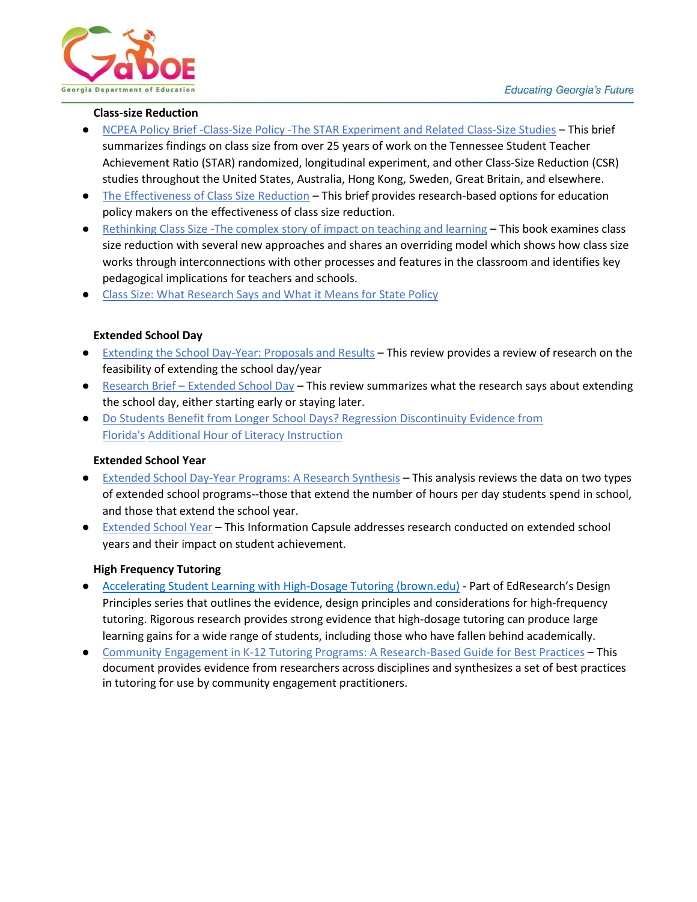

#### **Class-size Reduction**

- <span id="page-19-3"></span>● [NCPEA Policy Brief -Class-Size Policy -The STAR Experiment and Related Class-Size Studies](https://files.eric.ed.gov/fulltext/ED540485.pdf) – This brief summarizes findings on class size from over 25 years of work on the Tennessee Student Teacher Achievement Ratio (STAR) randomized, longitudinal experiment, and other Class-Size Reduction (CSR) studies throughout the United States, Australia, Hong Kong, Sweden, Great Britain, and elsewhere.
- [The Effectiveness of Class Size Reduction](https://nepc.colorado.edu/sites/default/files/publications/Mathis%20RBOPM-9%20Class%20Size.pdf) [–](https://nepc.colorado.edu/sites/default/files/publications/Mathis%20RBOPM-9%20Class%20Size.pdf) This brief provides research-based options for education policy makers on the effectiveness of class size reduction.
- Rethinking Class Size -The complex story of impact on teaching and learning This book examines class size reduction with several new approaches and shares an overriding model which shows how class size works through interconnections with other processes and features in the classroom and identifies key pedagogical implications for teachers and schools.
- [Class Size: What Research Says and What it Means for State Policy](https://www.brookings.edu/research/class-size-what-research-says-and-what-it-means-for-state-policy/)

#### **Extended School Day**

- <span id="page-19-0"></span>● [Extending the School Day-Year: Proposals and Results](https://files.eric.ed.gov/fulltext/ED321374.pdf) – This review provides a review of research on the feasibility of extending the school day/year
- Research Brief [Extended School Day](https://files.eric.ed.gov/fulltext/ED537590.pdf) This review summarizes what the research says about extending the school day, either starting early or staying later.
- [Do Students Benefit from Longer School Days? Regression Discontinuity Evidence from](https://files.eric.ed.gov/fulltext/ED591819.pdf)  [Florida's](https://files.eric.ed.gov/fulltext/ED591819.pdf) [Additional Hour of Literacy Instruction](https://files.eric.ed.gov/fulltext/ED591819.pdf)

#### **Extended School Year**

- <span id="page-19-1"></span>● [Extended School Day-Year Programs: A Research Synthesis](https://files.eric.ed.gov/fulltext/ED461695.pdf) – This analysis reviews the data on two types of extended school programs--those that extend the number of hours per day students spend in school, and those that extend the school year.
- [Extended School Year](https://files.eric.ed.gov/fulltext/ED544703.pdf) This Information Capsule addresses research conducted on extended school years and their impact on student achievement.

#### **High Frequency Tutoring**

- <span id="page-19-2"></span>● [Accelerating Student Learning with High-Dosage Tutoring \(brown.edu\)](https://annenberg.brown.edu/sites/default/files/EdResearch_for_Recovery_Design_Principles_1.pdf) [-](https://annenberg.brown.edu/sites/default/files/EdResearch_for_Recovery_Design_Principles_1.pdf) Part of EdResearch's Design Principles series that outlines the evidence, design principles and considerations for high-frequency tutoring. Rigorous research provides strong evidence that high-dosage tutoring can produce large learning gains for a wide range of students, including those who have fallen behind academically.
- [Community Engagement in K-12 Tutoring Programs: A Research-Based Guide for Best Practices](https://files.eric.ed.gov/fulltext/EJ1123811.pdf) This document provides evidence from researchers across disciplines and synthesizes a set of best practices in tutoring for use by community engagement practitioners.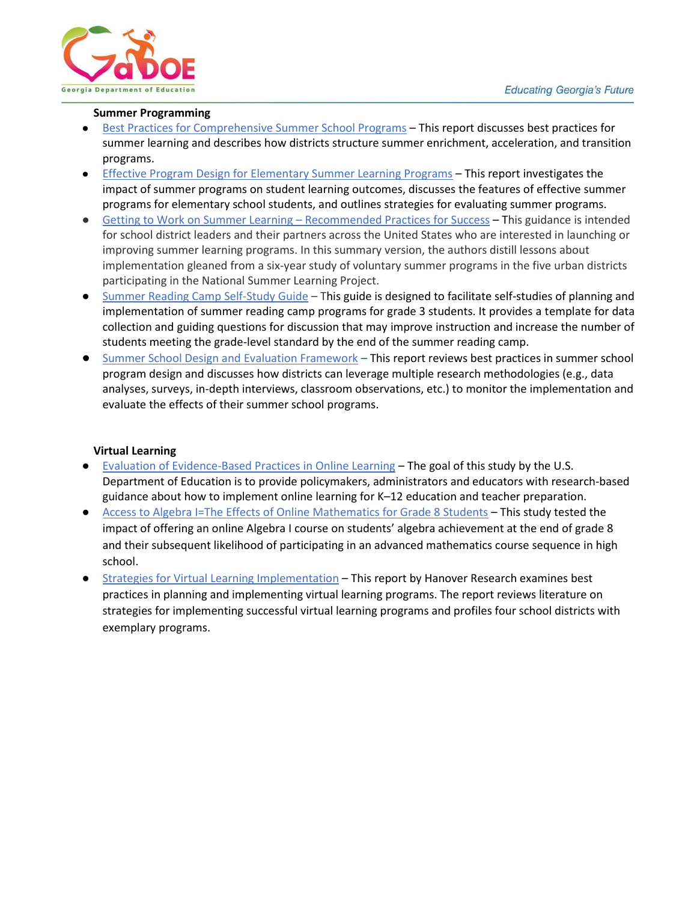

#### **Summer Programming**

- [Best Practices for Comprehensive Summer School Programs](https://insights.hanoverresearch.com/e2t/tc/VWHbx92NR9z0W8phn7q3gkr5VW178YCN4rd7CvN7bK2-f5nxGrV3Zsc37CgM7TW7WxtsC5N1p0qW5RL1j12l_sDZW8LZ0Pf9j_Xh-W3J0jlg6QKK_mW1tbmhx8NFqcLVzqLjD19JNPnW2YF7-r2gRVpPMgcyhfD6RLcW84H3nR5hRBw7W7KJ7Ky7kd0NKW4tdwdF8PnhpxVKwqBD18-hXQW4tDYf79l3FRrN5bSG7Y8kb2yM2v3n02gtqCM83dlhh-n1zW8dDW-w7hpNcXW8tMFMc1yYCsGW3qT-mm8V0DK5W4b4g5c7-yzx1W4Bkpm31-DpyQW4h111k5PqJp0W6HvyR03K3-8YW2GBm2Q4cJj5cW1gPfqT83kSgBW5Rb7Lh1qXTj6W4Tcyfj1jtb2BW5bpBcS89jK9gW7p1CLy4RNHZ6W8fP_T77qyW8GW3--GZp8bKCBSW7xQKKf7mr-bqW4BzJvh5zwQ12VKMjrM39GbXJ3js81) This report discusses best practices for summer learning and describes how districts structure summer enrichment, acceleration, and transition programs.
- [Effective Program Design for Elementary Summer Learning Programs](https://insights.hanoverresearch.com/e2t/tc/VWHbx92NR9z0W8phn7q3gkr5VW178YCN4rd7CvN7bK2-f5nxGrV3Zsc37CgQd5W1BsYKm7gyPrYW27B-Sg6whR6xN1CRYwk1rFbGW8wXCHN6sd8FKW41rcNJ2-WMWXW2LYxWb6GmR42N7rt5bnxP5wJN6YDZ0Ycp9WQW3689f05j5Kc0W1MwCBF7b5-RHW3S0KWr4ktl45W3PBYX019QNgvW3cWZc22SL_bYW5wm9p1933P2VN5565pgSgDgVW8Gx4Gz6vwk1DW46qsy66VX20MW9hL2q16kx3G8W1nFwKs3Wq2YWW58BhF06PsLYKN4Y_y-WXDyx_W7tjTb_2Vxz8WN7YVC5pwM8LsW2qzRzh2xcp0bW8XF7DJ5tr6zVW6vP9y68Jv33RW7xfZP8127bp-W1DqfgN26QV2bVt3YrH93_FrwW1vB1XL44TzMYW7XGZXS1KfwzcW4QQ6pq38-WkHW2-v60l4XgCJrN3LLlDQzQDYJ3dHD1) This report investigates the impact of summer programs on student learning outcomes, discusses the features of effective summer programs for elementary school students, and outlines strategies for evaluating summer programs.
- [Getting to Work on Summer Learning](https://www.rand.org/pubs/research_reports/RRA205-3.html)  Recommended Practice[s](https://www.rand.org/pubs/research_reports/RRA205-3.html) for Success This guidance is intended for school district leaders and their partners across the United States who are interested in launching or improving summer learning programs. In this summary version, the authors distill lessons about implementation gleaned from a six-year study of voluntary summer programs in the five urban districts participating in the National Summer Learning Project.
- [Summer Reading Camp](https://ies.ed.gov/ncee/edlabs/projects/project.asp?projectID=463) Self-Study Guide [–](https://ies.ed.gov/ncee/edlabs/projects/project.asp?projectID=463) This guide is designed to facilitate self-studies of planning and implementation of summer reading camp programs for grade 3 students. It provides a template for data collection and guiding questions for discussion that may improve instruction and increase the number of students meeting the grade-level standard by the end of the summer reading camp.
- <span id="page-20-0"></span>[Summer School Design and Evaluation Framework](https://insights.hanoverresearch.com/e2t/tc/VWHbx92NR9z0W8phn7q3gkr5VW178YCN4rd7CvN7bK2ZZ5nxG7V3Zsc37CgYJ0W975kCk7llPlPW9gf4zL3xDqXcW7s7tMP5w4KWgW1zS8h615_F4YW8QJPRy14zVn0V_v3BD8b45zwW1mKHbw74CG84W5g5gkk14x19pW2QLq2Y5XL5T6W5mS3kn72J05SW5NxslX7g9QtvW5L1PJB6R7YQCW90TwqF8pVZ_tW6HrR_-7nkwhxW6XPxc18XZRl_W11xBGK8pfyMWW4WfVsR1HqXgGW6hv7ZY5FKF2MN2-5rLdzDqkDW6FPSfH1YLgpzW3xSz4G7z9rWsN1DlQDFvwHTcW1CCKfv6ZQ4TSW3q3rpx5-qnRdW7xYS971m7JMxN1PSNDMfDVPtW1BKHpG64LVttW8R2xKn2Hx6wNW669R7V2gygstN5Q5fTK61HLLW60pSkM87DwycW1P9Ntq60zF1h36fB1) – This report reviews best practices in summer school program design and discusses how districts can leverage multiple research methodologies (e.g., data analyses, surveys, in-depth interviews, classroom observations, etc.) to monitor the implementation and evaluate the effects of their summer school programs.

#### **Virtual Learning**

- [Evaluation of Evidence-Based Practices in Online Learning](https://www2.ed.gov/rschstat/eval/tech/evidence-based-practices/finalreport.pdf) The goal of this study by the U.S. Department of Education is to provide policymakers, administrators and educators with research-based guidance about how to implement online learning for K–12 education and teacher preparation.
- [Access to Algebra I=The Effects of Online Mathematics for Grade 8 Students](https://files.eric.ed.gov/fulltext/ED527394.pdf) [–](https://files.eric.ed.gov/fulltext/ED527394.pdf) This study tested the impact of offering an online Algebra I course on students' algebra achievement at the end of grade 8 and their subsequent likelihood of participating in an advanced mathematics course sequence in high school.
- [Strategies for Virtual Learning Implementation](https://www.hanoverresearch.com/media/Strategies-for-Virtual-Learning-Implementation.pdf) [–](https://www.hanoverresearch.com/media/Strategies-for-Virtual-Learning-Implementation.pdf) This report by Hanover Research examines best practices in planning and implementing virtual learning programs. The report reviews literature on strategies for implementing successful virtual learning programs and profiles four school districts with exemplary programs.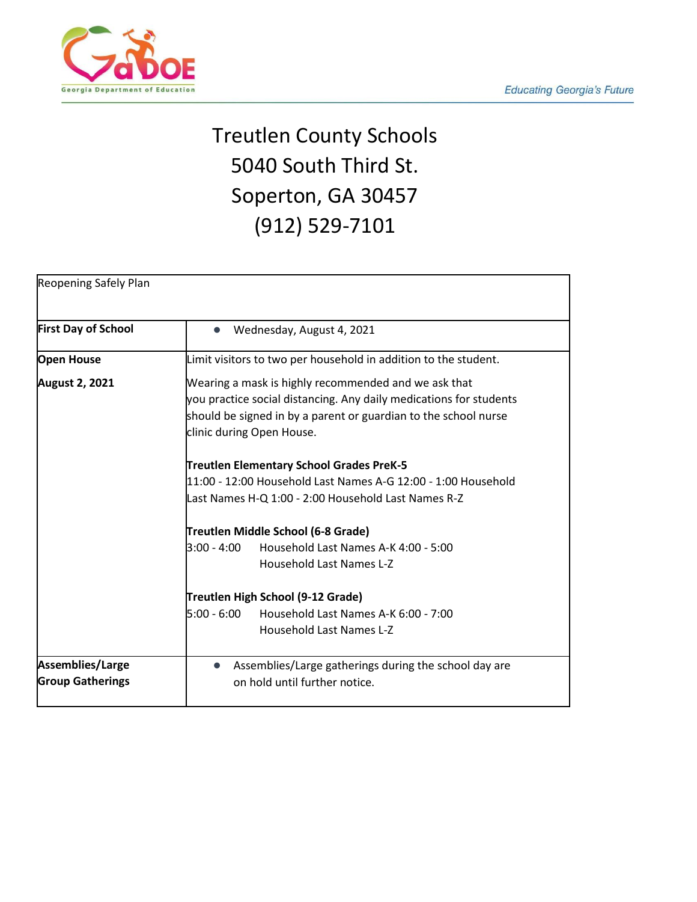

# Treutlen County Schools 5040 South Third St. Soperton, GA 30457 (912) 529-7101

| <b>Reopening Safely Plan</b>                |                                                                                                                                                                                                                            |
|---------------------------------------------|----------------------------------------------------------------------------------------------------------------------------------------------------------------------------------------------------------------------------|
| <b>First Day of School</b>                  | Wednesday, August 4, 2021<br>$\bullet$                                                                                                                                                                                     |
| <b>Open House</b>                           | Limit visitors to two per household in addition to the student.                                                                                                                                                            |
| <b>August 2, 2021</b>                       | Wearing a mask is highly recommended and we ask that<br>you practice social distancing. Any daily medications for students<br>should be signed in by a parent or guardian to the school nurse<br>clinic during Open House. |
|                                             | Treutlen Elementary School Grades PreK-5<br>11:00 - 12:00 Household Last Names A-G 12:00 - 1:00 Household<br>Last Names H-Q 1:00 - 2:00 Household Last Names R-Z                                                           |
|                                             | Treutlen Middle School (6-8 Grade)<br>$3:00 - 4:00$<br>Household Last Names A-K 4:00 - 5:00<br>Household Last Names L-Z                                                                                                    |
|                                             | Treutlen High School (9-12 Grade)<br>$5:00 - 6:00$<br>Household Last Names A-K 6:00 - 7:00<br><b>Household Last Names L-Z</b>                                                                                              |
| Assemblies/Large<br><b>Group Gatherings</b> | Assemblies/Large gatherings during the school day are<br>on hold until further notice.                                                                                                                                     |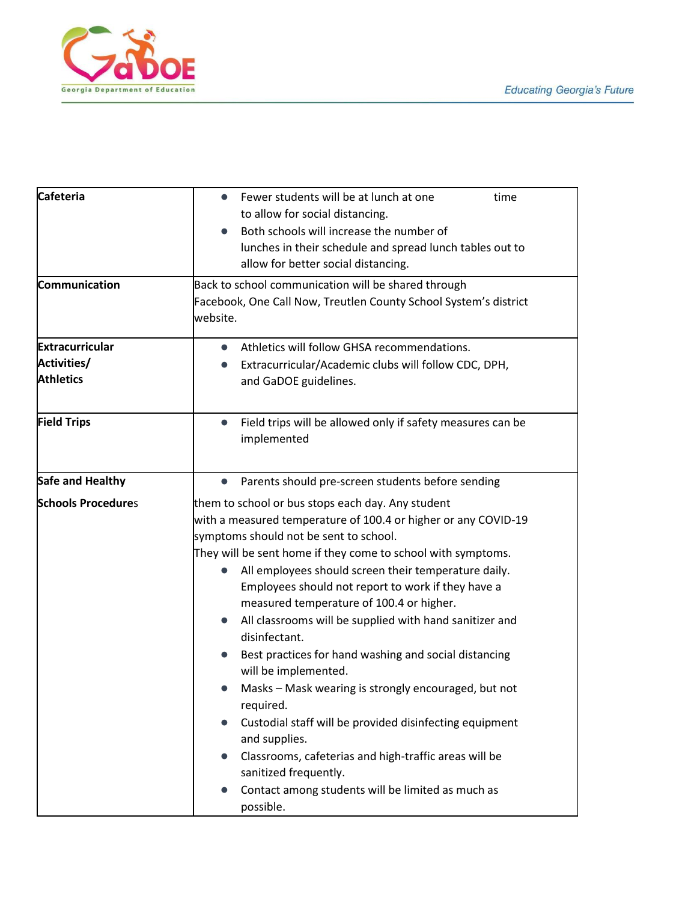

| <b>Cafeteria</b>                                                 | Fewer students will be at lunch at one<br>time<br>$\bullet$                                          |                                                     |
|------------------------------------------------------------------|------------------------------------------------------------------------------------------------------|-----------------------------------------------------|
|                                                                  | to allow for social distancing.                                                                      |                                                     |
|                                                                  | Both schools will increase the number of<br>lunches in their schedule and spread lunch tables out to |                                                     |
|                                                                  |                                                                                                      | allow for better social distancing.                 |
|                                                                  | Communication                                                                                        | Back to school communication will be shared through |
| Facebook, One Call Now, Treutlen County School System's district |                                                                                                      |                                                     |
| website.                                                         |                                                                                                      |                                                     |
| <b>Extracurricular</b>                                           | Athletics will follow GHSA recommendations.<br>$\bullet$                                             |                                                     |
| Activities/                                                      | Extracurricular/Academic clubs will follow CDC, DPH,                                                 |                                                     |
| <b>Athletics</b>                                                 | and GaDOE guidelines.                                                                                |                                                     |
|                                                                  |                                                                                                      |                                                     |
| <b>Field Trips</b>                                               | Field trips will be allowed only if safety measures can be<br>$\bullet$                              |                                                     |
|                                                                  | implemented                                                                                          |                                                     |
|                                                                  |                                                                                                      |                                                     |
| Safe and Healthy                                                 | Parents should pre-screen students before sending<br>$\bullet$                                       |                                                     |
| <b>Schools Procedures</b>                                        | them to school or bus stops each day. Any student                                                    |                                                     |
|                                                                  | with a measured temperature of 100.4 or higher or any COVID-19                                       |                                                     |
|                                                                  | symptoms should not be sent to school.                                                               |                                                     |
|                                                                  | They will be sent home if they come to school with symptoms.                                         |                                                     |
|                                                                  | All employees should screen their temperature daily.                                                 |                                                     |
|                                                                  | Employees should not report to work if they have a                                                   |                                                     |
|                                                                  | measured temperature of 100.4 or higher.                                                             |                                                     |
|                                                                  | All classrooms will be supplied with hand sanitizer and<br>$\bullet$                                 |                                                     |
|                                                                  | disinfectant.                                                                                        |                                                     |
|                                                                  | Best practices for hand washing and social distancing                                                |                                                     |
|                                                                  | will be implemented.                                                                                 |                                                     |
|                                                                  | Masks - Mask wearing is strongly encouraged, but not                                                 |                                                     |
|                                                                  | required.                                                                                            |                                                     |
|                                                                  | Custodial staff will be provided disinfecting equipment                                              |                                                     |
|                                                                  | and supplies.                                                                                        |                                                     |
|                                                                  | Classrooms, cafeterias and high-traffic areas will be                                                |                                                     |
|                                                                  | sanitized frequently.                                                                                |                                                     |
|                                                                  | Contact among students will be limited as much as                                                    |                                                     |
|                                                                  | possible.                                                                                            |                                                     |